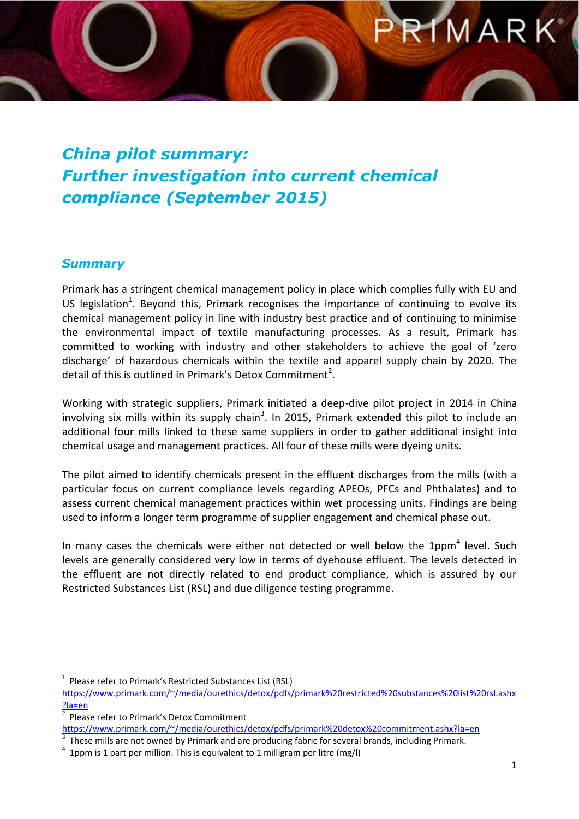### MAR

#### *China pilot summary: Further investigation into current chemical compliance (September 2015)*

#### *Summary*

Primark has a stringent chemical management policy in place which complies fully with EU and US legislation<sup>1</sup>. Beyond this, Primark recognises the importance of continuing to evolve its chemical management policy in line with industry best practice and of continuing to minimise the environmental impact of textile manufacturing processes. As a result, Primark has committed to working with industry and other stakeholders to achieve the goal of 'zero discharge' of hazardous chemicals within the textile and apparel supply chain by 2020. The detail of this is outlined in Primark's Detox Commitment<sup>2</sup>.

Working with strategic suppliers, Primark initiated a deep-dive pilot project in 2014 in China involving six mills within its supply chain<sup>3</sup>. In 2015, Primark extended this pilot to include an additional four mills linked to these same suppliers in order to gather additional insight into chemical usage and management practices. All four of these mills were dyeing units.

The pilot aimed to identify chemicals present in the effluent discharges from the mills (with a particular focus on current compliance levels regarding APEOs, PFCs and Phthalates) and to assess current chemical management practices within wet processing units. Findings are being used to inform a longer term programme of supplier engagement and chemical phase out.

In many cases the chemicals were either not detected or well below the  $1ppm^4$  level. Such levels are generally considered very low in terms of dyehouse effluent. The levels detected in the effluent are not directly related to end product compliance, which is assured by our Restricted Substances List (RSL) and due diligence testing programme.

 $\overline{a}$ 1 Please refer to Primark's Restricted Substances List (RSL)

[https://www.primark.com/~/media/ourethics/detox/pdfs/primark%20restricted%20substances%20list%20rsl.ashx](https://www.primark.com/~/media/ourethics/detox/pdfs/primark%20restricted%20substances%20list%20rsl.ashx?la=en) [?la=en](https://www.primark.com/~/media/ourethics/detox/pdfs/primark%20restricted%20substances%20list%20rsl.ashx?la=en) 

<sup>2</sup> Please refer to Primark's Detox Commitment

<https://www.primark.com/~/media/ourethics/detox/pdfs/primark%20detox%20commitment.ashx?la=en>

 $3$  These mills are not owned by Primark and are producing fabric for several brands, including Primark.

 $4$  1ppm is 1 part per million. This is equivalent to 1 milligram per litre (mg/l)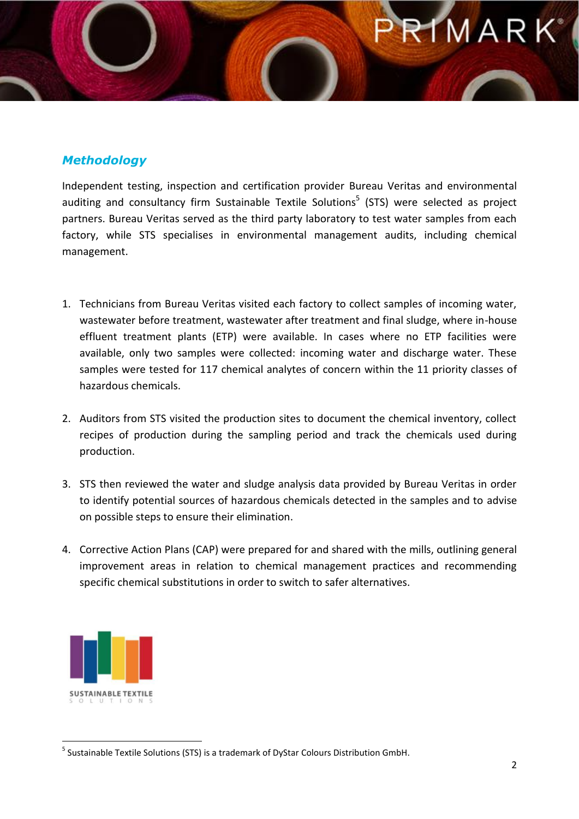### MAR

#### *Methodology*

Independent testing, inspection and certification provider [Bureau Veritas](http://www.bureauveritas.com/wps/wcm/connect/bv_com/group) and environmental auditing and consultancy firm [Sustainable Textile Solutions](http://www.dystar.com/Sustainable-Textile-Solutions.cfm)<sup>5</sup> (STS) were selected as project partners. Bureau Veritas served as the third party laboratory to test water samples from each factory, while STS specialises in environmental management audits, including chemical management.

- 1. Technicians from Bureau Veritas visited each factory to collect samples of incoming water, wastewater before treatment, wastewater after treatment and final sludge, where in-house effluent treatment plants (ETP) were available. In cases where no ETP facilities were available, only two samples were collected: incoming water and discharge water. These samples were tested for 117 chemical analytes of concern within the 11 priority classes of hazardous chemicals.
- 2. Auditors from STS visited the production sites to document the chemical inventory, collect recipes of production during the sampling period and track the chemicals used during production.
- 3. STS then reviewed the water and sludge analysis data provided by Bureau Veritas in order to identify potential sources of hazardous chemicals detected in the samples and to advise on possible steps to ensure their elimination.
- 4. Corrective Action Plans (CAP) were prepared for and shared with the mills, outlining general improvement areas in relation to chemical management practices and recommending specific chemical substitutions in order to switch to safer alternatives.



 $\overline{\phantom{a}}$ <sup>5</sup> Sustainable Textile Solutions (STS) is a trademark of DyStar Colours Distribution GmbH.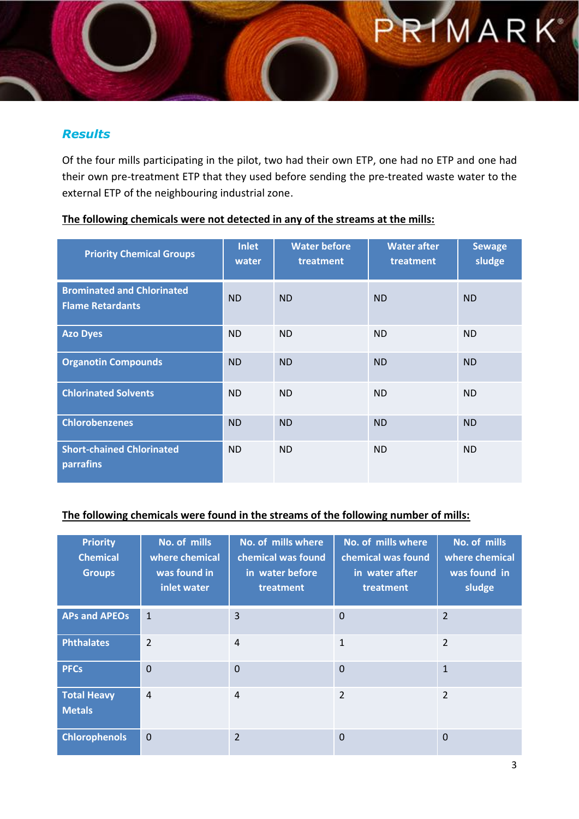## **IMARK**

#### *Results*

Of the four mills participating in the pilot, two had their own ETP, one had no ETP and one had their own pre-treatment ETP that they used before sending the pre-treated waste water to the external ETP of the neighbouring industrial zone.

| <b>Priority Chemical Groups</b>                              | <b>Inlet</b><br>water | <b>Water before</b><br>treatment | <b>Water after</b><br>treatment | <b>Sewage</b><br>sludge |
|--------------------------------------------------------------|-----------------------|----------------------------------|---------------------------------|-------------------------|
| <b>Brominated and Chlorinated</b><br><b>Flame Retardants</b> | <b>ND</b>             | <b>ND</b>                        | <b>ND</b>                       | <b>ND</b>               |
| <b>Azo Dyes</b>                                              | <b>ND</b>             | <b>ND</b>                        | <b>ND</b>                       | <b>ND</b>               |
| <b>Organotin Compounds</b>                                   | <b>ND</b>             | <b>ND</b>                        | <b>ND</b>                       | <b>ND</b>               |
| <b>Chlorinated Solvents</b>                                  | <b>ND</b>             | <b>ND</b>                        | <b>ND</b>                       | <b>ND</b>               |
| <b>Chlorobenzenes</b>                                        | <b>ND</b>             | <b>ND</b>                        | <b>ND</b>                       | <b>ND</b>               |
| <b>Short-chained Chlorinated</b><br>parrafins                | <b>ND</b>             | <b>ND</b>                        | <b>ND</b>                       | <b>ND</b>               |

#### **The following chemicals were not detected in any of the streams at the mills:**

#### **The following chemicals were found in the streams of the following number of mills:**

| <b>Priority</b><br><b>Chemical</b><br><b>Groups</b> | No. of mills<br>where chemical<br>was found in<br>inlet water | No. of mills where<br>chemical was found<br>in water before<br>treatment | No. of mills where<br>chemical was found<br>in water after<br>treatment | No. of mills<br>where chemical<br>was found in<br>sludge |
|-----------------------------------------------------|---------------------------------------------------------------|--------------------------------------------------------------------------|-------------------------------------------------------------------------|----------------------------------------------------------|
| <b>APs and APEOs</b>                                | $\mathbf{1}$                                                  | $\overline{3}$                                                           | $\mathbf{0}$                                                            | $\overline{2}$                                           |
| <b>Phthalates</b>                                   | $\overline{2}$                                                | $\overline{4}$                                                           | $\mathbf{1}$                                                            | $\overline{2}$                                           |
| <b>PFCs</b>                                         | $\overline{0}$                                                | $\mathbf 0$                                                              | $\mathbf{0}$                                                            | $\mathbf{1}$                                             |
| <b>Total Heavy</b><br><b>Metals</b>                 | $\overline{4}$                                                | $\overline{4}$                                                           | $\overline{2}$                                                          | $\overline{2}$                                           |
| <b>Chlorophenols</b>                                | $\Omega$                                                      | $\overline{2}$                                                           | $\Omega$                                                                | $\Omega$                                                 |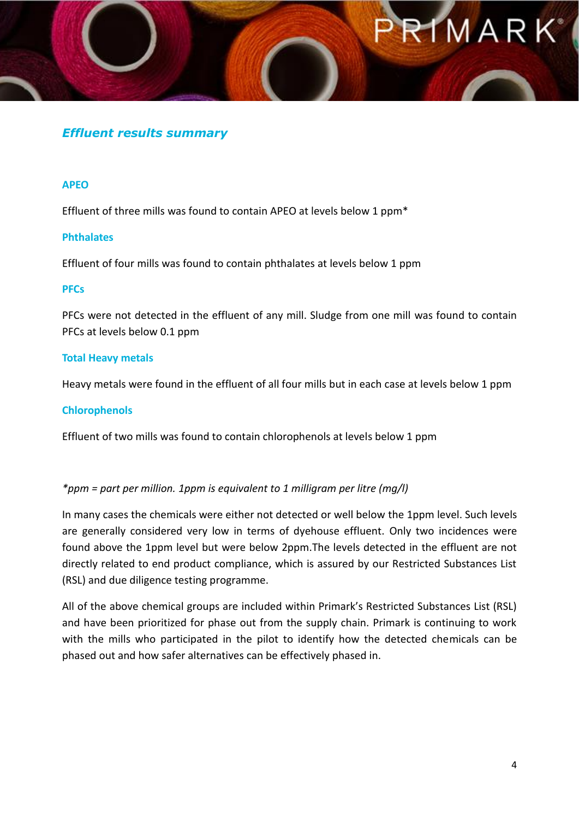## MARK

#### *Effluent results summary*

#### **APEO**

Effluent of three mills was found to contain APEO at levels below 1 ppm\*

#### **Phthalates**

Effluent of four mills was found to contain phthalates at levels below 1 ppm

#### **PFCs**

PFCs were not detected in the effluent of any mill. Sludge from one mill was found to contain PFCs at levels below 0.1 ppm

#### **Total Heavy metals**

Heavy metals were found in the effluent of all four mills but in each case at levels below 1 ppm

#### **Chlorophenols**

Effluent of two mills was found to contain chlorophenols at levels below 1 ppm

#### *\*ppm = part per million. 1ppm is equivalent to 1 milligram per litre (mg/l)*

In many cases the chemicals were either not detected or well below the 1ppm level. Such levels are generally considered very low in terms of dyehouse effluent. Only two incidences were found above the 1ppm level but were below 2ppm.The levels detected in the effluent are not directly related to end product compliance, which is assured by our Restricted Substances List (RSL) and due diligence testing programme.

All of the above chemical groups are included within Primark's Restricted Substances List (RSL) and have been prioritized for phase out from the supply chain. Primark is continuing to work with the mills who participated in the pilot to identify how the detected chemicals can be phased out and how safer alternatives can be effectively phased in.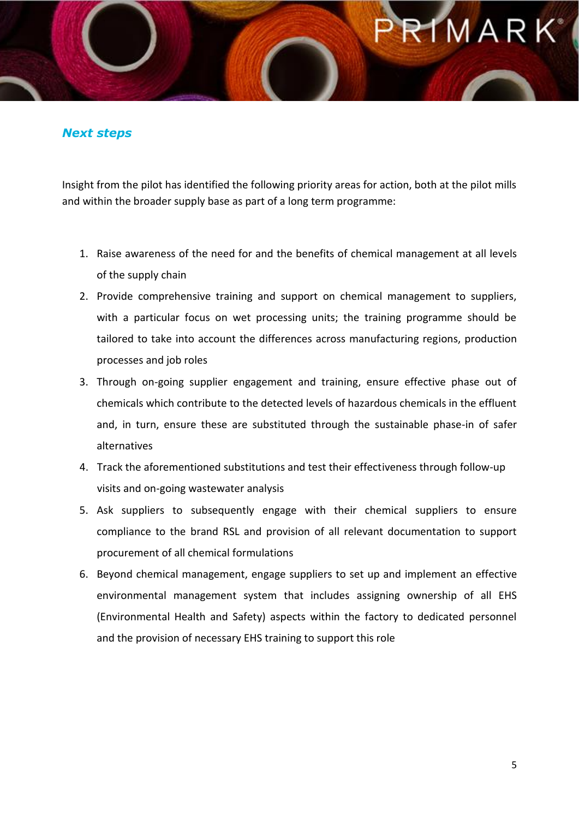### MAR

#### *Next steps*

Insight from the pilot has identified the following priority areas for action, both at the pilot mills and within the broader supply base as part of a long term programme:

- 1. Raise awareness of the need for and the benefits of chemical management at all levels of the supply chain
- 2. Provide comprehensive training and support on chemical management to suppliers, with a particular focus on wet processing units; the training programme should be tailored to take into account the differences across manufacturing regions, production processes and job roles
- 3. Through on-going supplier engagement and training, ensure effective phase out of chemicals which contribute to the detected levels of hazardous chemicals in the effluent and, in turn, ensure these are substituted through the sustainable phase-in of safer alternatives
- 4. Track the aforementioned substitutions and test their effectiveness through follow-up visits and on-going wastewater analysis
- 5. Ask suppliers to subsequently engage with their chemical suppliers to ensure compliance to the brand RSL and provision of all relevant documentation to support procurement of all chemical formulations
- 6. Beyond chemical management, engage suppliers to set up and implement an effective environmental management system that includes assigning ownership of all EHS (Environmental Health and Safety) aspects within the factory to dedicated personnel and the provision of necessary EHS training to support this role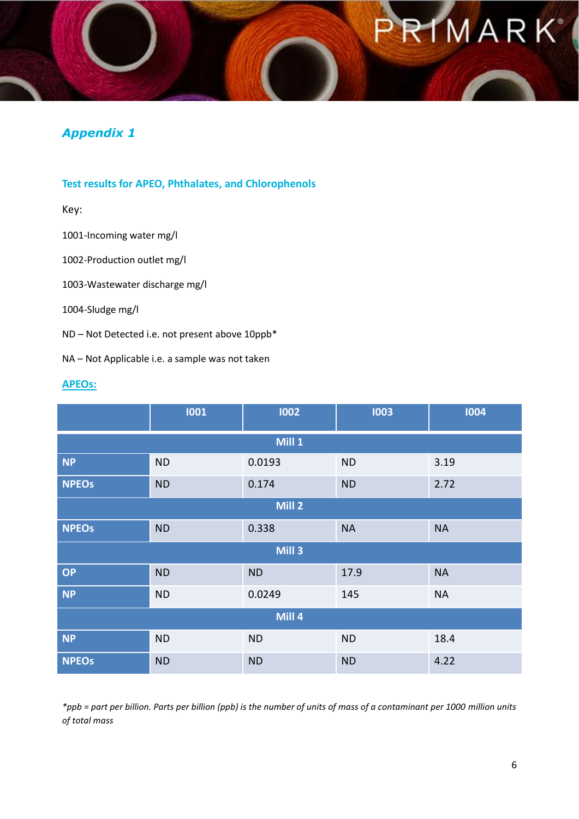# IMARK

#### *Appendix 1*

#### **Test results for APEO, Phthalates, and Chlorophenols**

Key:

1001-Incoming water mg/l

1002-Production outlet mg/l

1003-Wastewater discharge mg/l

1004-Sludge mg/l

ND – Not Detected i.e. not present above 10ppb\*

NA – Not Applicable i.e. a sample was not taken

#### **APEOs:**

|                   | 1001      | 1002      | 1003      | 1004      |  |
|-------------------|-----------|-----------|-----------|-----------|--|
| Mill 1            |           |           |           |           |  |
| <b>NP</b>         | <b>ND</b> | 0.0193    | <b>ND</b> | 3.19      |  |
| <b>NPEOs</b>      | <b>ND</b> | 0.174     | <b>ND</b> | 2.72      |  |
| Mill <sub>2</sub> |           |           |           |           |  |
| <b>NPEOs</b>      | <b>ND</b> | 0.338     | <b>NA</b> | <b>NA</b> |  |
| Mill <sub>3</sub> |           |           |           |           |  |
| OP                | <b>ND</b> | <b>ND</b> | 17.9      | <b>NA</b> |  |
| <b>NP</b>         | <b>ND</b> | 0.0249    | 145       | <b>NA</b> |  |
| Mill 4            |           |           |           |           |  |
| <b>NP</b>         | <b>ND</b> | <b>ND</b> | <b>ND</b> | 18.4      |  |
| <b>NPEOS</b>      | <b>ND</b> | <b>ND</b> | <b>ND</b> | 4.22      |  |

*\*ppb = part per billion. Parts per billion (ppb) is the number of units of mass of a contaminant per 1000 million units of total mass*